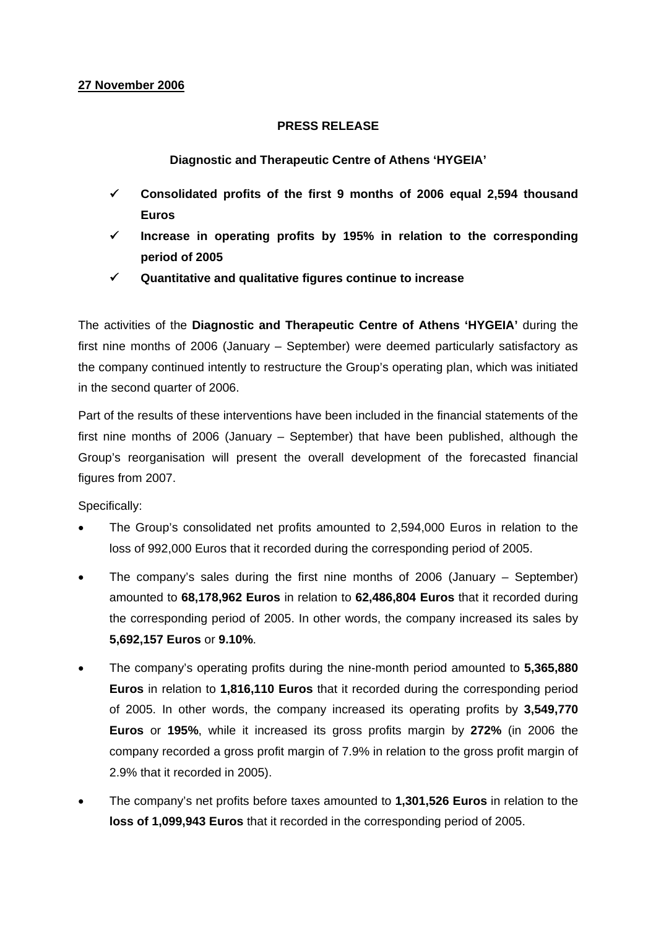## **27 November 2006**

## **PRESS RELEASE**

**Diagnostic and Therapeutic Centre of Athens 'HYGEIA'** 

- 9 **Consolidated profits of the first 9 months of 2006 equal 2,594 thousand Euros**
- 9 **Increase in operating profits by 195% in relation to the corresponding period of 2005**
- 9 **Quantitative and qualitative figures continue to increase**

The activities of the **Diagnostic and Therapeutic Centre of Athens 'HYGEIA'** during the first nine months of 2006 (January – September) were deemed particularly satisfactory as the company continued intently to restructure the Group's operating plan, which was initiated in the second quarter of 2006.

Part of the results of these interventions have been included in the financial statements of the first nine months of 2006 (January – September) that have been published, although the Group's reorganisation will present the overall development of the forecasted financial figures from 2007.

Specifically:

- The Group's consolidated net profits amounted to 2,594,000 Euros in relation to the loss of 992,000 Euros that it recorded during the corresponding period of 2005.
- The company's sales during the first nine months of 2006 (January September) amounted to **68,178,962 Euros** in relation to **62,486,804 Euros** that it recorded during the corresponding period of 2005. In other words, the company increased its sales by **5,692,157 Euros** or **9.10%**.
- The company's operating profits during the nine-month period amounted to **5,365,880 Euros** in relation to **1,816,110 Euros** that it recorded during the corresponding period of 2005. In other words, the company increased its operating profits by **3,549,770 Euros** or **195%**, while it increased its gross profits margin by **272%** (in 2006 the company recorded a gross profit margin of 7.9% in relation to the gross profit margin of 2.9% that it recorded in 2005).
- The company's net profits before taxes amounted to **1,301,526 Euros** in relation to the **loss of 1,099,943 Euros** that it recorded in the corresponding period of 2005.